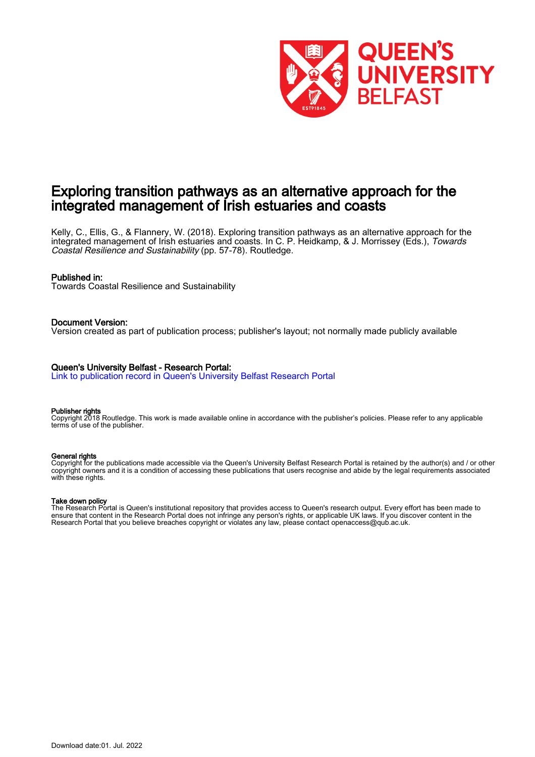

# Exploring transition pathways as an alternative approach for the integrated management of Irish estuaries and coasts

Kelly, C., Ellis, G., & Flannery, W. (2018). Exploring transition pathways as an alternative approach for the integrated management of Irish estuaries and coasts. In C. P. Heidkamp, & J. Morrissey (Eds.), Towards Coastal Resilience and Sustainability (pp. 57-78). Routledge.

#### Published in:

Towards Coastal Resilience and Sustainability

#### Document Version: Version created as part of publication process; publisher's layout; not normally made publicly available

#### Queen's University Belfast - Research Portal:

[Link to publication record in Queen's University Belfast Research Portal](https://pure.qub.ac.uk/en/publications/2a94136f-6748-43e1-94c1-bc8fa579b89e)

#### Publisher rights

Copyright 2018 Routledge. This work is made available online in accordance with the publisher's policies. Please refer to any applicable terms of use of the publisher.

#### General rights

Copyright for the publications made accessible via the Queen's University Belfast Research Portal is retained by the author(s) and / or other copyright owners and it is a condition of accessing these publications that users recognise and abide by the legal requirements associated with these rights.

#### Take down policy

The Research Portal is Queen's institutional repository that provides access to Queen's research output. Every effort has been made to ensure that content in the Research Portal does not infringe any person's rights, or applicable UK laws. If you discover content in the Research Portal that you believe breaches copyright or violates any law, please contact openaccess@qub.ac.uk.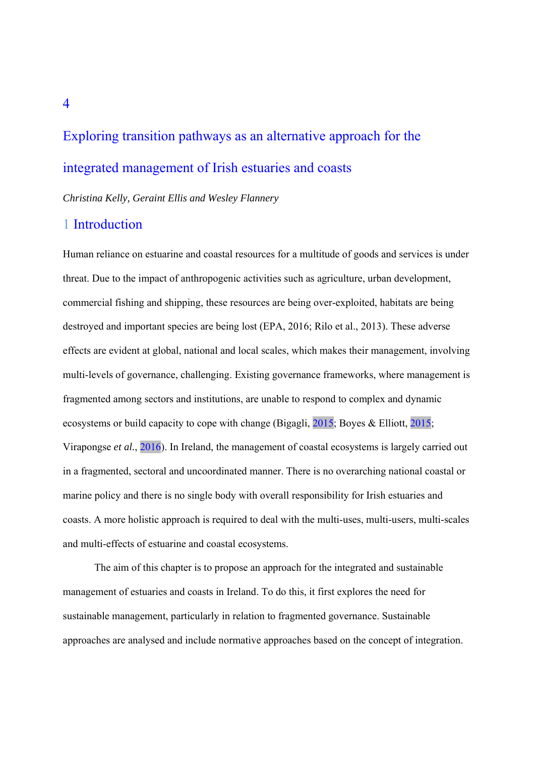# Exploring transition pathways as an alternative approach for the integrated management of Irish estuaries and coasts

*Christina Kelly, Geraint Ellis and Wesley Flannery*

### 1 Introduction

Human reliance on estuarine and coastal resources for a multitude of goods and services is under threat. Due to the impact of anthropogenic activities such as agriculture, urban development, commercial fishing and shipping, these resources are being over-exploited, habitats are being destroyed and important species are being lost (EPA, 2016; Rilo et al., 2013). These adverse effects are evident at global, national and local scales, which makes their management, involving multi-levels of governance, challenging. Existing governance frameworks, where management is fragmented among sectors and institutions, are unable to respond to complex and dynamic ecosystems or build capacity to cope with change (Bigagli, 2015; Boyes & Elliott, 2015; Virapongse *et al.*, 2016). In Ireland, the management of coastal ecosystems is largely carried out in a fragmented, sectoral and uncoordinated manner. There is no overarching national coastal or marine policy and there is no single body with overall responsibility for Irish estuaries and coasts. A more holistic approach is required to deal with the multi-uses, multi-users, multi-scales and multi-effects of estuarine and coastal ecosystems.

The aim of this chapter is to propose an approach for the integrated and sustainable management of estuaries and coasts in Ireland. To do this, it first explores the need for sustainable management, particularly in relation to fragmented governance. Sustainable approaches are analysed and include normative approaches based on the concept of integration.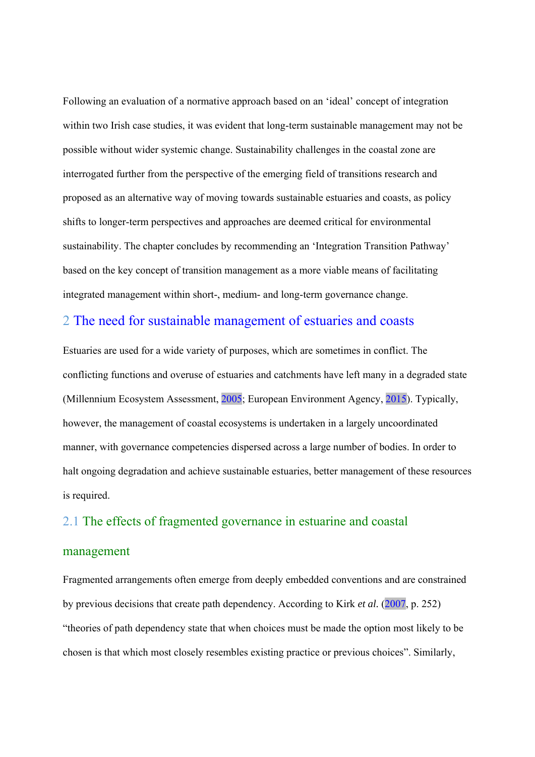Following an evaluation of a normative approach based on an 'ideal' concept of integration within two Irish case studies, it was evident that long-term sustainable management may not be possible without wider systemic change. Sustainability challenges in the coastal zone are interrogated further from the perspective of the emerging field of transitions research and proposed as an alternative way of moving towards sustainable estuaries and coasts, as policy shifts to longer-term perspectives and approaches are deemed critical for environmental sustainability. The chapter concludes by recommending an 'Integration Transition Pathway' based on the key concept of transition management as a more viable means of facilitating integrated management within short-, medium- and long-term governance change.

### 2 The need for sustainable management of estuaries and coasts

Estuaries are used for a wide variety of purposes, which are sometimes in conflict. The conflicting functions and overuse of estuaries and catchments have left many in a degraded state (Millennium Ecosystem Assessment, 2005; European Environment Agency, 2015). Typically, however, the management of coastal ecosystems is undertaken in a largely uncoordinated manner, with governance competencies dispersed across a large number of bodies. In order to halt ongoing degradation and achieve sustainable estuaries, better management of these resources is required.

### 2.1 The effects of fragmented governance in estuarine and coastal

#### management

Fragmented arrangements often emerge from deeply embedded conventions and are constrained by previous decisions that create path dependency. According to Kirk *et al.* (2007, p. 252) "theories of path dependency state that when choices must be made the option most likely to be chosen is that which most closely resembles existing practice or previous choices". Similarly,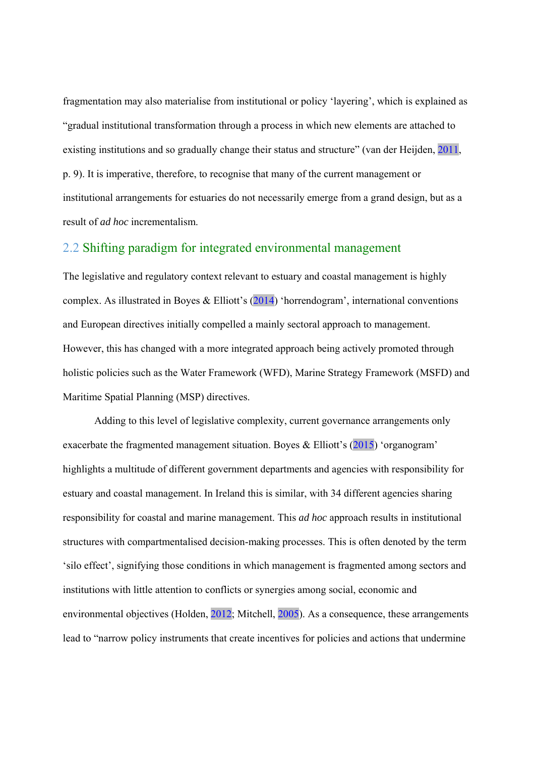fragmentation may also materialise from institutional or policy 'layering', which is explained as "gradual institutional transformation through a process in which new elements are attached to existing institutions and so gradually change their status and structure" (van der Heijden, 2011, p. 9). It is imperative, therefore, to recognise that many of the current management or institutional arrangements for estuaries do not necessarily emerge from a grand design, but as a result of *ad hoc* incrementalism.

### 2.2 Shifting paradigm for integrated environmental management

The legislative and regulatory context relevant to estuary and coastal management is highly complex. As illustrated in Boyes & Elliott's (2014) 'horrendogram', international conventions and European directives initially compelled a mainly sectoral approach to management. However, this has changed with a more integrated approach being actively promoted through holistic policies such as the Water Framework (WFD), Marine Strategy Framework (MSFD) and Maritime Spatial Planning (MSP) directives.

Adding to this level of legislative complexity, current governance arrangements only exacerbate the fragmented management situation. Boyes & Elliott's (2015) 'organogram' highlights a multitude of different government departments and agencies with responsibility for estuary and coastal management. In Ireland this is similar, with 34 different agencies sharing responsibility for coastal and marine management. This *ad hoc* approach results in institutional structures with compartmentalised decision-making processes. This is often denoted by the term 'silo effect', signifying those conditions in which management is fragmented among sectors and institutions with little attention to conflicts or synergies among social, economic and environmental objectives (Holden, 2012; Mitchell, 2005). As a consequence, these arrangements lead to "narrow policy instruments that create incentives for policies and actions that undermine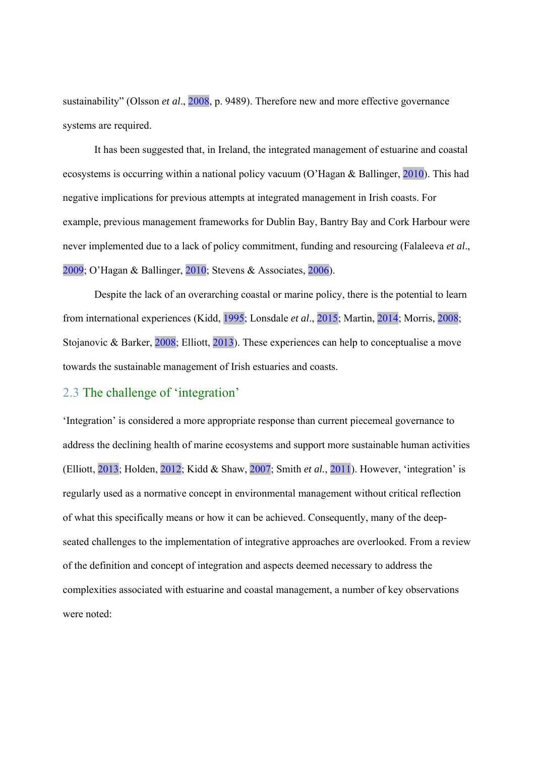sustainability" (Olsson *et al*., 2008, p. 9489). Therefore new and more effective governance systems are required.

It has been suggested that, in Ireland, the integrated management of estuarine and coastal ecosystems is occurring within a national policy vacuum (O'Hagan & Ballinger, 2010). This had negative implications for previous attempts at integrated management in Irish coasts. For example, previous management frameworks for Dublin Bay, Bantry Bay and Cork Harbour were never implemented due to a lack of policy commitment, funding and resourcing (Falaleeva *et al*., 2009; O'Hagan & Ballinger, 2010; Stevens & Associates, 2006).

Despite the lack of an overarching coastal or marine policy, there is the potential to learn from international experiences (Kidd, 1995; Lonsdale *et al*., 2015; Martin, 2014; Morris, 2008; Stojanovic & Barker, 2008; Elliott, 2013). These experiences can help to conceptualise a move towards the sustainable management of Irish estuaries and coasts.

### 2.3 The challenge of 'integration'

'Integration' is considered a more appropriate response than current piecemeal governance to address the declining health of marine ecosystems and support more sustainable human activities (Elliott, 2013; Holden, 2012; Kidd & Shaw, 2007; Smith *et al.*, 2011). However, 'integration' is regularly used as a normative concept in environmental management without critical reflection of what this specifically means or how it can be achieved. Consequently, many of the deepseated challenges to the implementation of integrative approaches are overlooked. From a review of the definition and concept of integration and aspects deemed necessary to address the complexities associated with estuarine and coastal management, a number of key observations were noted: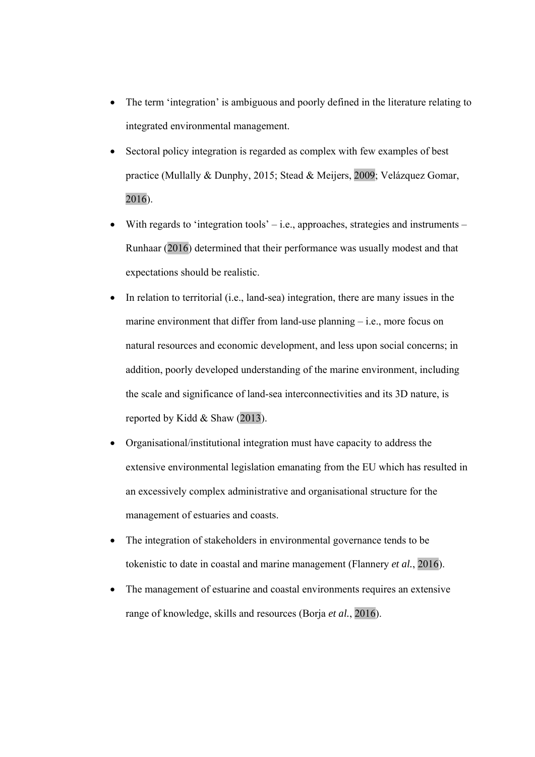- The term 'integration' is ambiguous and poorly defined in the literature relating to integrated environmental management.
- Sectoral policy integration is regarded as complex with few examples of best practice (Mullally & Dunphy, 2015; Stead & Meijers, 2009; Velázquez Gomar, 2016).
- With regards to 'integration tools' i.e., approaches, strategies and instruments Runhaar (2016) determined that their performance was usually modest and that expectations should be realistic.
- In relation to territorial (i.e., land-sea) integration, there are many issues in the marine environment that differ from land-use planning  $-$  i.e., more focus on natural resources and economic development, and less upon social concerns; in addition, poorly developed understanding of the marine environment, including the scale and significance of land-sea interconnectivities and its 3D nature, is reported by Kidd & Shaw (2013).
- Organisational/institutional integration must have capacity to address the extensive environmental legislation emanating from the EU which has resulted in an excessively complex administrative and organisational structure for the management of estuaries and coasts.
- The integration of stakeholders in environmental governance tends to be tokenistic to date in coastal and marine management (Flannery *et al.*, 2016).
- The management of estuarine and coastal environments requires an extensive range of knowledge, skills and resources (Borja *et al.*, 2016).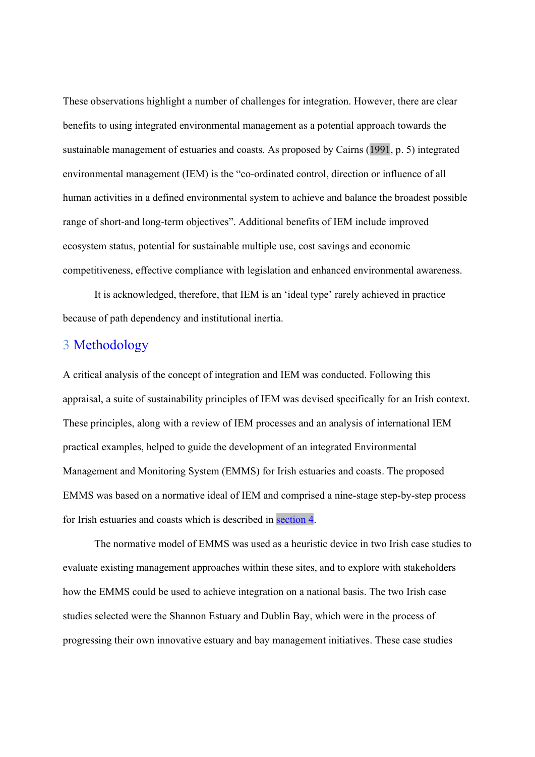These observations highlight a number of challenges for integration. However, there are clear benefits to using integrated environmental management as a potential approach towards the sustainable management of estuaries and coasts. As proposed by Cairns (1991, p. 5) integrated environmental management (IEM) is the "co-ordinated control, direction or influence of all human activities in a defined environmental system to achieve and balance the broadest possible range of short-and long-term objectives". Additional benefits of IEM include improved ecosystem status, potential for sustainable multiple use, cost savings and economic competitiveness, effective compliance with legislation and enhanced environmental awareness.

It is acknowledged, therefore, that IEM is an 'ideal type' rarely achieved in practice because of path dependency and institutional inertia.

### 3 Methodology

A critical analysis of the concept of integration and IEM was conducted. Following this appraisal, a suite of sustainability principles of IEM was devised specifically for an Irish context. These principles, along with a review of IEM processes and an analysis of international IEM practical examples, helped to guide the development of an integrated Environmental Management and Monitoring System (EMMS) for Irish estuaries and coasts. The proposed EMMS was based on a normative ideal of IEM and comprised a nine-stage step-by-step process for Irish estuaries and coasts which is described in section 4.

The normative model of EMMS was used as a heuristic device in two Irish case studies to evaluate existing management approaches within these sites, and to explore with stakeholders how the EMMS could be used to achieve integration on a national basis. The two Irish case studies selected were the Shannon Estuary and Dublin Bay, which were in the process of progressing their own innovative estuary and bay management initiatives. These case studies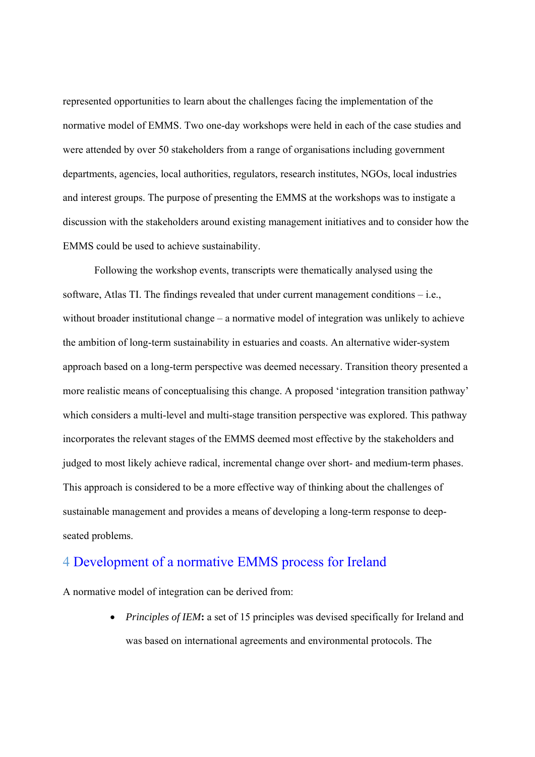represented opportunities to learn about the challenges facing the implementation of the normative model of EMMS. Two one-day workshops were held in each of the case studies and were attended by over 50 stakeholders from a range of organisations including government departments, agencies, local authorities, regulators, research institutes, NGOs, local industries and interest groups. The purpose of presenting the EMMS at the workshops was to instigate a discussion with the stakeholders around existing management initiatives and to consider how the EMMS could be used to achieve sustainability.

Following the workshop events, transcripts were thematically analysed using the software, Atlas TI. The findings revealed that under current management conditions – i.e., without broader institutional change – a normative model of integration was unlikely to achieve the ambition of long-term sustainability in estuaries and coasts. An alternative wider-system approach based on a long-term perspective was deemed necessary. Transition theory presented a more realistic means of conceptualising this change. A proposed 'integration transition pathway' which considers a multi-level and multi-stage transition perspective was explored. This pathway incorporates the relevant stages of the EMMS deemed most effective by the stakeholders and judged to most likely achieve radical, incremental change over short- and medium-term phases. This approach is considered to be a more effective way of thinking about the challenges of sustainable management and provides a means of developing a long-term response to deepseated problems.

## 4 Development of a normative EMMS process for Ireland

A normative model of integration can be derived from:

• *Principles of IEM*: a set of 15 principles was devised specifically for Ireland and was based on international agreements and environmental protocols. The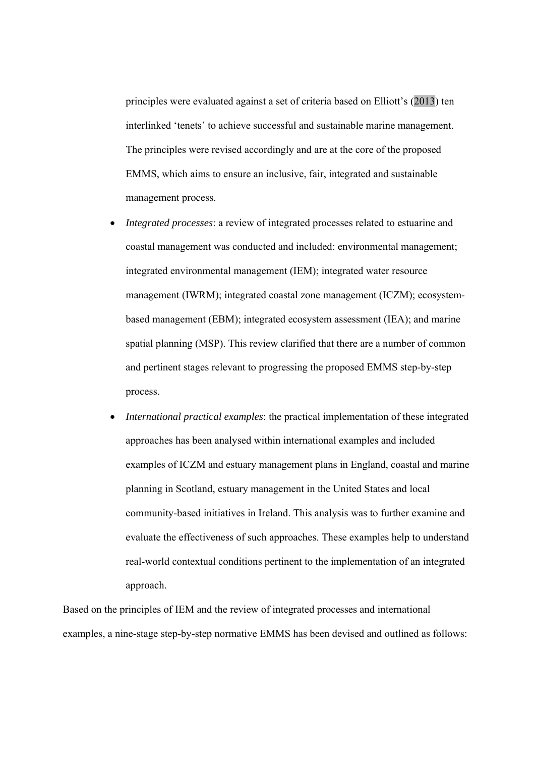principles were evaluated against a set of criteria based on Elliott's (2013) ten interlinked 'tenets' to achieve successful and sustainable marine management. The principles were revised accordingly and are at the core of the proposed EMMS, which aims to ensure an inclusive, fair, integrated and sustainable management process.

- *Integrated processes*: a review of integrated processes related to estuarine and coastal management was conducted and included: environmental management; integrated environmental management (IEM); integrated water resource management (IWRM); integrated coastal zone management (ICZM); ecosystembased management (EBM); integrated ecosystem assessment (IEA); and marine spatial planning (MSP). This review clarified that there are a number of common and pertinent stages relevant to progressing the proposed EMMS step-by-step process.
- *International practical examples*: the practical implementation of these integrated approaches has been analysed within international examples and included examples of ICZM and estuary management plans in England, coastal and marine planning in Scotland, estuary management in the United States and local community-based initiatives in Ireland. This analysis was to further examine and evaluate the effectiveness of such approaches. These examples help to understand real-world contextual conditions pertinent to the implementation of an integrated approach.

Based on the principles of IEM and the review of integrated processes and international examples, a nine-stage step-by-step normative EMMS has been devised and outlined as follows: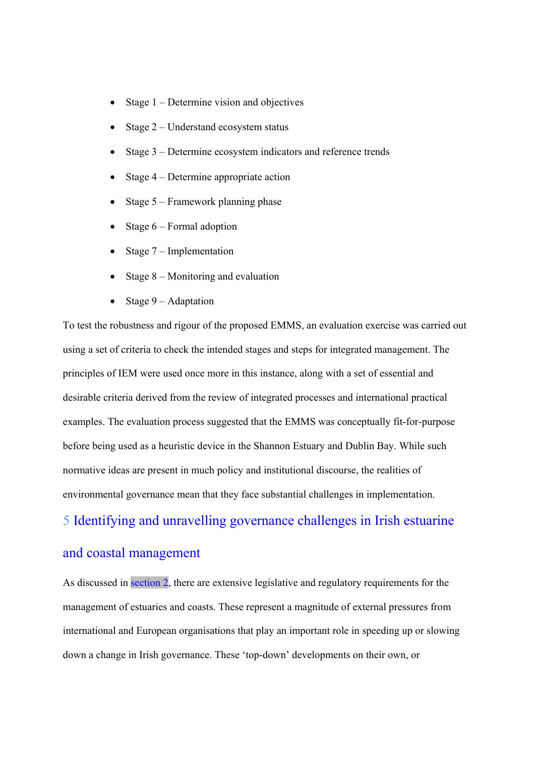- Stage  $1$  Determine vision and objectives
- Stage  $2$  Understand ecosystem status
- Stage  $3$  Determine ecosystem indicators and reference trends
- Stage 4 Determine appropriate action
- Stage 5 Framework planning phase
- Stage  $6$  Formal adoption
- Stage  $7$  Implementation
- Stage 8 Monitoring and evaluation
- Stage  $9 -$  Adaptation

To test the robustness and rigour of the proposed EMMS, an evaluation exercise was carried out using a set of criteria to check the intended stages and steps for integrated management. The principles of IEM were used once more in this instance, along with a set of essential and desirable criteria derived from the review of integrated processes and international practical examples. The evaluation process suggested that the EMMS was conceptually fit-for-purpose before being used as a heuristic device in the Shannon Estuary and Dublin Bay. While such normative ideas are present in much policy and institutional discourse, the realities of environmental governance mean that they face substantial challenges in implementation.

5 Identifying and unravelling governance challenges in Irish estuarine

## and coastal management

As discussed in section 2, there are extensive legislative and regulatory requirements for the management of estuaries and coasts. These represent a magnitude of external pressures from international and European organisations that play an important role in speeding up or slowing down a change in Irish governance. These 'top-down' developments on their own, or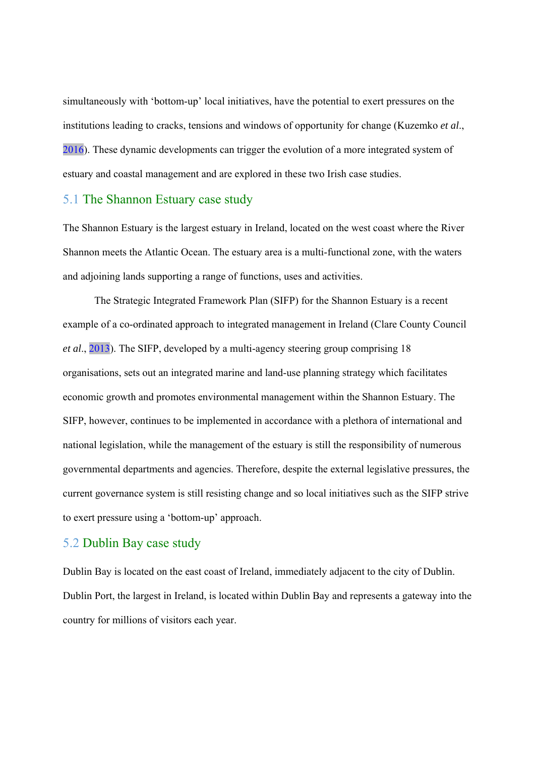simultaneously with 'bottom-up' local initiatives, have the potential to exert pressures on the institutions leading to cracks, tensions and windows of opportunity for change (Kuzemko *et al*., 2016). These dynamic developments can trigger the evolution of a more integrated system of estuary and coastal management and are explored in these two Irish case studies.

#### 5.1 The Shannon Estuary case study

The Shannon Estuary is the largest estuary in Ireland, located on the west coast where the River Shannon meets the Atlantic Ocean. The estuary area is a multi-functional zone, with the waters and adjoining lands supporting a range of functions, uses and activities.

The Strategic Integrated Framework Plan (SIFP) for the Shannon Estuary is a recent example of a co-ordinated approach to integrated management in Ireland (Clare County Council *et al*., 2013). The SIFP, developed by a multi-agency steering group comprising 18 organisations, sets out an integrated marine and land-use planning strategy which facilitates economic growth and promotes environmental management within the Shannon Estuary. The SIFP, however, continues to be implemented in accordance with a plethora of international and national legislation, while the management of the estuary is still the responsibility of numerous governmental departments and agencies. Therefore, despite the external legislative pressures, the current governance system is still resisting change and so local initiatives such as the SIFP strive to exert pressure using a 'bottom-up' approach.

#### 5.2 Dublin Bay case study

Dublin Bay is located on the east coast of Ireland, immediately adjacent to the city of Dublin. Dublin Port, the largest in Ireland, is located within Dublin Bay and represents a gateway into the country for millions of visitors each year.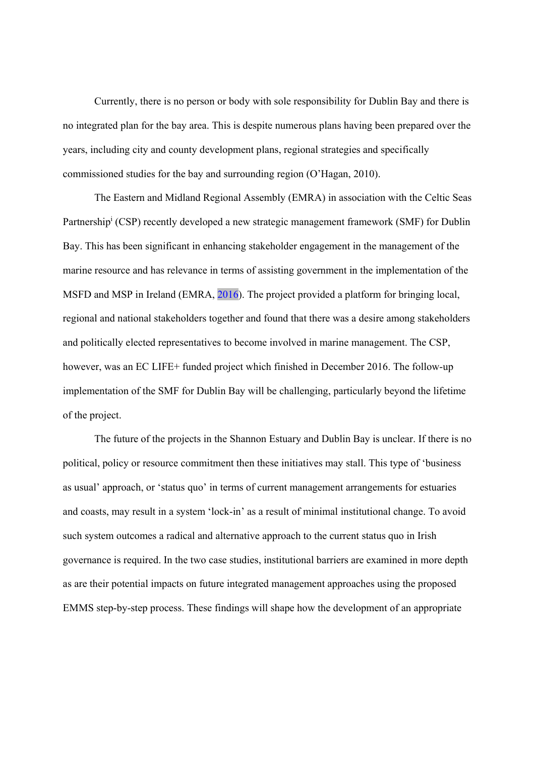Currently, there is no person or body with sole responsibility for Dublin Bay and there is no integrated plan for the bay area. This is despite numerous plans having been prepared over the years, including city and county development plans, regional strategies and specifically commissioned studies for the bay and surrounding region (O'Hagan, 2010).

The Eastern and Midland Regional Assembly (EMRA) in association with the Celtic Seas Partnership<sup>i</sup> (CSP) recently developed a new strategic management framework (SMF) for Dublin Bay. This has been significant in enhancing stakeholder engagement in the management of the marine resource and has relevance in terms of assisting government in the implementation of the MSFD and MSP in Ireland (EMRA, 2016). The project provided a platform for bringing local, regional and national stakeholders together and found that there was a desire among stakeholders and politically elected representatives to become involved in marine management. The CSP, however, was an EC LIFE+ funded project which finished in December 2016. The follow-up implementation of the SMF for Dublin Bay will be challenging, particularly beyond the lifetime of the project.

The future of the projects in the Shannon Estuary and Dublin Bay is unclear. If there is no political, policy or resource commitment then these initiatives may stall. This type of 'business as usual' approach, or 'status quo' in terms of current management arrangements for estuaries and coasts, may result in a system 'lock-in' as a result of minimal institutional change. To avoid such system outcomes a radical and alternative approach to the current status quo in Irish governance is required. In the two case studies, institutional barriers are examined in more depth as are their potential impacts on future integrated management approaches using the proposed EMMS step-by-step process. These findings will shape how the development of an appropriate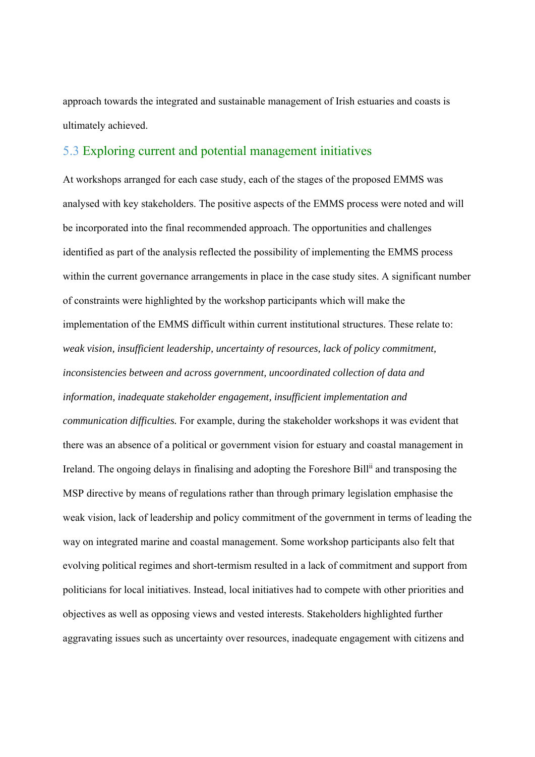approach towards the integrated and sustainable management of Irish estuaries and coasts is ultimately achieved.

#### 5.3 Exploring current and potential management initiatives

At workshops arranged for each case study, each of the stages of the proposed EMMS was analysed with key stakeholders. The positive aspects of the EMMS process were noted and will be incorporated into the final recommended approach. The opportunities and challenges identified as part of the analysis reflected the possibility of implementing the EMMS process within the current governance arrangements in place in the case study sites. A significant number of constraints were highlighted by the workshop participants which will make the implementation of the EMMS difficult within current institutional structures. These relate to: *weak vision, insufficient leadership, uncertainty of resources, lack of policy commitment, inconsistencies between and across government, uncoordinated collection of data and information, inadequate stakeholder engagement, insufficient implementation and communication difficulties.* For example, during the stakeholder workshops it was evident that there was an absence of a political or government vision for estuary and coastal management in Ireland. The ongoing delays in finalising and adopting the Foreshore Bill<sup>ii</sup> and transposing the MSP directive by means of regulations rather than through primary legislation emphasise the weak vision, lack of leadership and policy commitment of the government in terms of leading the way on integrated marine and coastal management. Some workshop participants also felt that evolving political regimes and short-termism resulted in a lack of commitment and support from politicians for local initiatives. Instead, local initiatives had to compete with other priorities and objectives as well as opposing views and vested interests. Stakeholders highlighted further aggravating issues such as uncertainty over resources, inadequate engagement with citizens and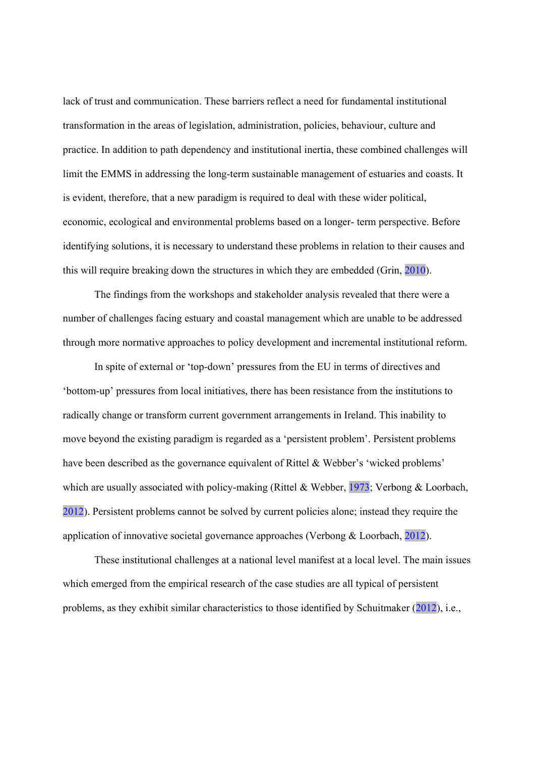lack of trust and communication. These barriers reflect a need for fundamental institutional transformation in the areas of legislation, administration, policies, behaviour, culture and practice. In addition to path dependency and institutional inertia, these combined challenges will limit the EMMS in addressing the long-term sustainable management of estuaries and coasts. It is evident, therefore, that a new paradigm is required to deal with these wider political, economic, ecological and environmental problems based on a longer- term perspective. Before identifying solutions, it is necessary to understand these problems in relation to their causes and this will require breaking down the structures in which they are embedded (Grin, 2010).

The findings from the workshops and stakeholder analysis revealed that there were a number of challenges facing estuary and coastal management which are unable to be addressed through more normative approaches to policy development and incremental institutional reform.

In spite of external or 'top-down' pressures from the EU in terms of directives and 'bottom-up' pressures from local initiatives, there has been resistance from the institutions to radically change or transform current government arrangements in Ireland. This inability to move beyond the existing paradigm is regarded as a 'persistent problem'. Persistent problems have been described as the governance equivalent of Rittel & Webber's 'wicked problems' which are usually associated with policy-making (Rittel & Webber, 1973; Verbong & Loorbach, 2012). Persistent problems cannot be solved by current policies alone; instead they require the application of innovative societal governance approaches (Verbong & Loorbach, 2012).

These institutional challenges at a national level manifest at a local level. The main issues which emerged from the empirical research of the case studies are all typical of persistent problems, as they exhibit similar characteristics to those identified by Schuitmaker (2012), i.e.,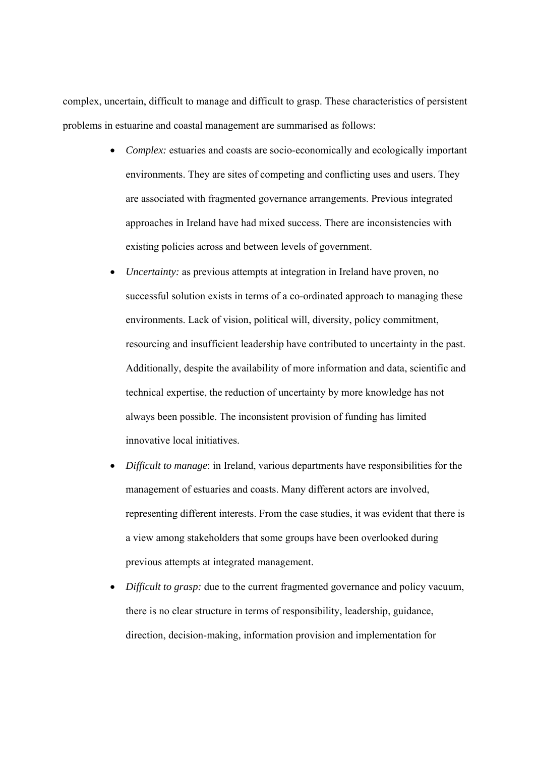complex, uncertain, difficult to manage and difficult to grasp. These characteristics of persistent problems in estuarine and coastal management are summarised as follows:

- *Complex:* estuaries and coasts are socio-economically and ecologically important environments. They are sites of competing and conflicting uses and users. They are associated with fragmented governance arrangements. Previous integrated approaches in Ireland have had mixed success. There are inconsistencies with existing policies across and between levels of government.
- *Uncertainty:* as previous attempts at integration in Ireland have proven, no successful solution exists in terms of a co-ordinated approach to managing these environments. Lack of vision, political will, diversity, policy commitment, resourcing and insufficient leadership have contributed to uncertainty in the past. Additionally, despite the availability of more information and data, scientific and technical expertise, the reduction of uncertainty by more knowledge has not always been possible. The inconsistent provision of funding has limited innovative local initiatives.
- *Difficult to manage*: in Ireland, various departments have responsibilities for the management of estuaries and coasts. Many different actors are involved, representing different interests. From the case studies, it was evident that there is a view among stakeholders that some groups have been overlooked during previous attempts at integrated management.
- *Difficult to grasp:* due to the current fragmented governance and policy vacuum, there is no clear structure in terms of responsibility, leadership, guidance, direction, decision-making, information provision and implementation for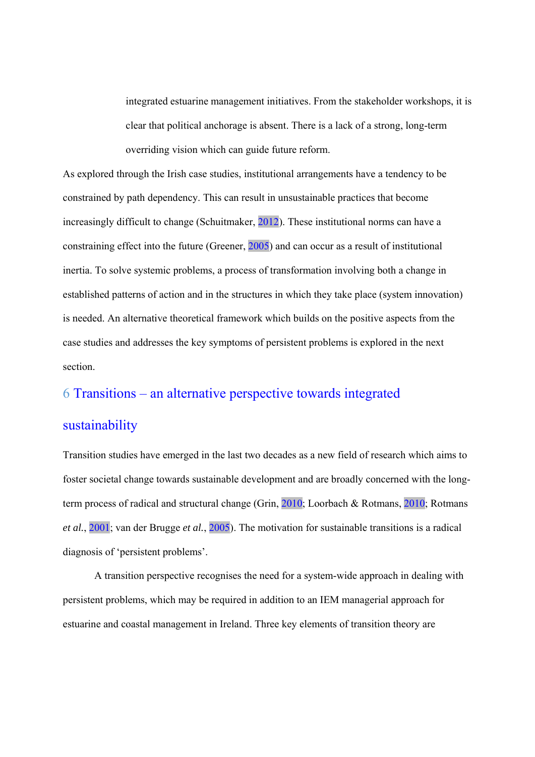integrated estuarine management initiatives. From the stakeholder workshops, it is clear that political anchorage is absent. There is a lack of a strong, long-term overriding vision which can guide future reform.

As explored through the Irish case studies, institutional arrangements have a tendency to be constrained by path dependency. This can result in unsustainable practices that become increasingly difficult to change (Schuitmaker, 2012). These institutional norms can have a constraining effect into the future (Greener, 2005) and can occur as a result of institutional inertia. To solve systemic problems, a process of transformation involving both a change in established patterns of action and in the structures in which they take place (system innovation) is needed. An alternative theoretical framework which builds on the positive aspects from the case studies and addresses the key symptoms of persistent problems is explored in the next section.

# 6 Transitions – an alternative perspective towards integrated

#### sustainability

Transition studies have emerged in the last two decades as a new field of research which aims to foster societal change towards sustainable development and are broadly concerned with the longterm process of radical and structural change (Grin, 2010; Loorbach & Rotmans, 2010; Rotmans *et al.*, 2001; van der Brugge *et al.*, 2005). The motivation for sustainable transitions is a radical diagnosis of 'persistent problems'.

A transition perspective recognises the need for a system-wide approach in dealing with persistent problems, which may be required in addition to an IEM managerial approach for estuarine and coastal management in Ireland. Three key elements of transition theory are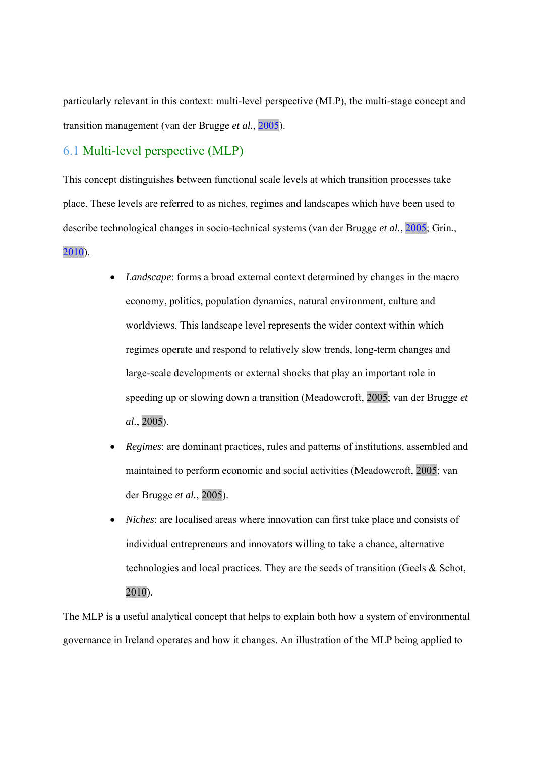particularly relevant in this context: multi-level perspective (MLP), the multi-stage concept and transition management (van der Brugge *et al.*, 2005).

### 6.1 Multi-level perspective (MLP)

This concept distinguishes between functional scale levels at which transition processes take place. These levels are referred to as niches, regimes and landscapes which have been used to describe technological changes in socio-technical systems (van der Brugge *et al.*, 2005; Grin*.*, 2010).

- *Landscape*: forms a broad external context determined by changes in the macro economy, politics, population dynamics, natural environment, culture and worldviews. This landscape level represents the wider context within which regimes operate and respond to relatively slow trends, long-term changes and large-scale developments or external shocks that play an important role in speeding up or slowing down a transition (Meadowcroft, 2005; van der Brugge *et al.*, 2005).
- *Regimes*: are dominant practices, rules and patterns of institutions, assembled and maintained to perform economic and social activities (Meadowcroft, 2005; van der Brugge *et al.*, 2005).
- *Niches*: are localised areas where innovation can first take place and consists of individual entrepreneurs and innovators willing to take a chance, alternative technologies and local practices. They are the seeds of transition (Geels & Schot, 2010).

The MLP is a useful analytical concept that helps to explain both how a system of environmental governance in Ireland operates and how it changes. An illustration of the MLP being applied to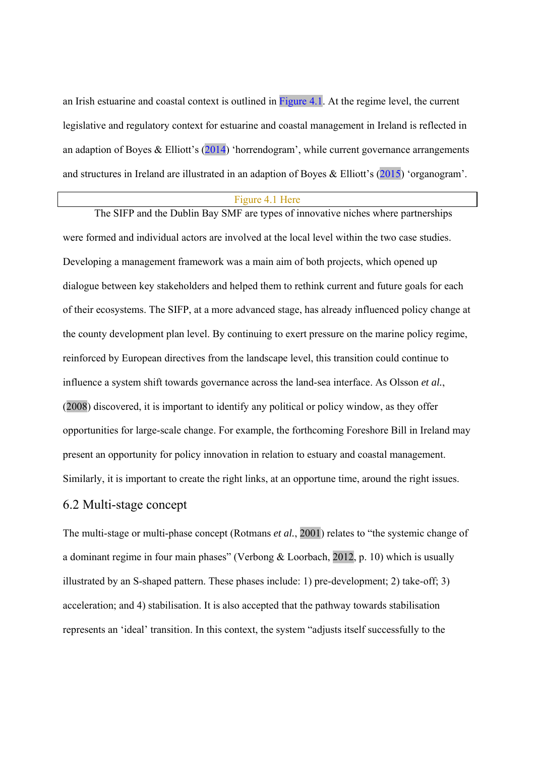an Irish estuarine and coastal context is outlined in Figure 4.1. At the regime level, the current legislative and regulatory context for estuarine and coastal management in Ireland is reflected in an adaption of Boyes & Elliott's (2014) 'horrendogram', while current governance arrangements and structures in Ireland are illustrated in an adaption of Boyes & Elliott's (2015) 'organogram'.

#### Figure 4.1 Here

The SIFP and the Dublin Bay SMF are types of innovative niches where partnerships were formed and individual actors are involved at the local level within the two case studies. Developing a management framework was a main aim of both projects, which opened up dialogue between key stakeholders and helped them to rethink current and future goals for each of their ecosystems. The SIFP, at a more advanced stage, has already influenced policy change at the county development plan level. By continuing to exert pressure on the marine policy regime, reinforced by European directives from the landscape level, this transition could continue to influence a system shift towards governance across the land-sea interface. As Olsson *et al.*, (2008) discovered, it is important to identify any political or policy window, as they offer opportunities for large-scale change. For example, the forthcoming Foreshore Bill in Ireland may present an opportunity for policy innovation in relation to estuary and coastal management. Similarly, it is important to create the right links, at an opportune time, around the right issues.

#### 6.2 Multi-stage concept

The multi-stage or multi-phase concept (Rotmans *et al.*, 2001) relates to "the systemic change of a dominant regime in four main phases" (Verbong & Loorbach, 2012, p. 10) which is usually illustrated by an S-shaped pattern. These phases include: 1) pre-development; 2) take-off; 3) acceleration; and 4) stabilisation. It is also accepted that the pathway towards stabilisation represents an 'ideal' transition. In this context, the system "adjusts itself successfully to the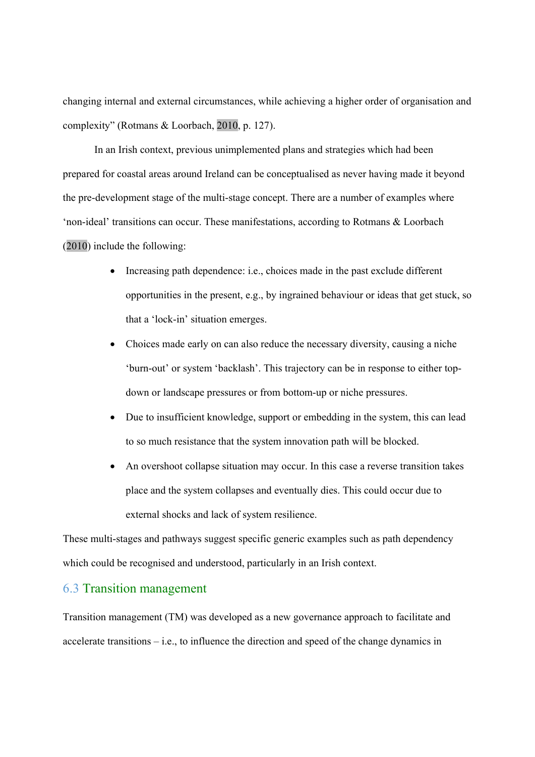changing internal and external circumstances, while achieving a higher order of organisation and complexity" (Rotmans & Loorbach, 2010, p. 127).

In an Irish context, previous unimplemented plans and strategies which had been prepared for coastal areas around Ireland can be conceptualised as never having made it beyond the pre-development stage of the multi-stage concept. There are a number of examples where 'non-ideal' transitions can occur. These manifestations, according to Rotmans & Loorbach (2010) include the following:

- Increasing path dependence: i.e., choices made in the past exclude different opportunities in the present, e.g., by ingrained behaviour or ideas that get stuck, so that a 'lock-in' situation emerges.
- Choices made early on can also reduce the necessary diversity, causing a niche 'burn-out' or system 'backlash'. This trajectory can be in response to either topdown or landscape pressures or from bottom-up or niche pressures.
- Due to insufficient knowledge, support or embedding in the system, this can lead to so much resistance that the system innovation path will be blocked.
- An overshoot collapse situation may occur. In this case a reverse transition takes place and the system collapses and eventually dies. This could occur due to external shocks and lack of system resilience.

These multi-stages and pathways suggest specific generic examples such as path dependency which could be recognised and understood, particularly in an Irish context.

### 6.3 Transition management

Transition management (TM) was developed as a new governance approach to facilitate and accelerate transitions – i.e., to influence the direction and speed of the change dynamics in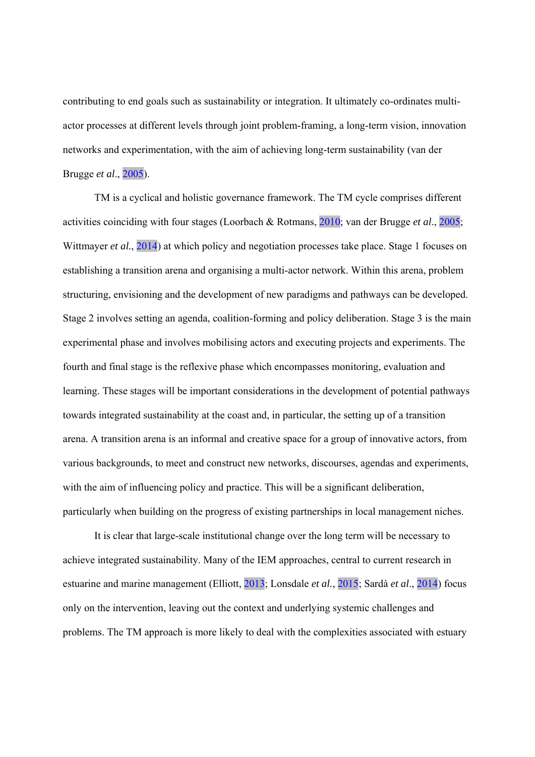contributing to end goals such as sustainability or integration. It ultimately co-ordinates multiactor processes at different levels through joint problem-framing, a long-term vision, innovation networks and experimentation, with the aim of achieving long-term sustainability (van der Brugge *et al*., 2005).

TM is a cyclical and holistic governance framework. The TM cycle comprises different activities coinciding with four stages (Loorbach & Rotmans, 2010; van der Brugge *et al*., 2005; Wittmayer *et al.*, 2014) at which policy and negotiation processes take place. Stage 1 focuses on establishing a transition arena and organising a multi-actor network. Within this arena, problem structuring, envisioning and the development of new paradigms and pathways can be developed. Stage 2 involves setting an agenda, coalition-forming and policy deliberation. Stage 3 is the main experimental phase and involves mobilising actors and executing projects and experiments. The fourth and final stage is the reflexive phase which encompasses monitoring, evaluation and learning. These stages will be important considerations in the development of potential pathways towards integrated sustainability at the coast and, in particular, the setting up of a transition arena. A transition arena is an informal and creative space for a group of innovative actors, from various backgrounds, to meet and construct new networks, discourses, agendas and experiments, with the aim of influencing policy and practice. This will be a significant deliberation, particularly when building on the progress of existing partnerships in local management niches.

It is clear that large-scale institutional change over the long term will be necessary to achieve integrated sustainability. Many of the IEM approaches, central to current research in estuarine and marine management (Elliott, 2013; Lonsdale *et al.*, 2015; Sardà *et al*., 2014) focus only on the intervention, leaving out the context and underlying systemic challenges and problems. The TM approach is more likely to deal with the complexities associated with estuary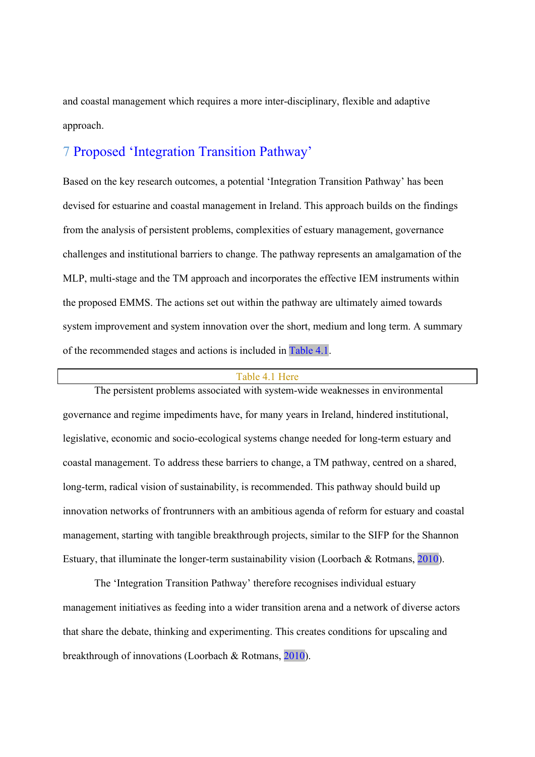and coastal management which requires a more inter-disciplinary, flexible and adaptive approach.

# 7 Proposed 'Integration Transition Pathway'

Based on the key research outcomes, a potential 'Integration Transition Pathway' has been devised for estuarine and coastal management in Ireland. This approach builds on the findings from the analysis of persistent problems, complexities of estuary management, governance challenges and institutional barriers to change. The pathway represents an amalgamation of the MLP, multi-stage and the TM approach and incorporates the effective IEM instruments within the proposed EMMS. The actions set out within the pathway are ultimately aimed towards system improvement and system innovation over the short, medium and long term. A summary of the recommended stages and actions is included in Table 4.1.

#### Table 4.1 Here

The persistent problems associated with system-wide weaknesses in environmental governance and regime impediments have, for many years in Ireland, hindered institutional, legislative, economic and socio-ecological systems change needed for long-term estuary and coastal management. To address these barriers to change, a TM pathway, centred on a shared, long-term, radical vision of sustainability, is recommended. This pathway should build up innovation networks of frontrunners with an ambitious agenda of reform for estuary and coastal management, starting with tangible breakthrough projects, similar to the SIFP for the Shannon Estuary, that illuminate the longer-term sustainability vision (Loorbach & Rotmans, 2010).

The 'Integration Transition Pathway' therefore recognises individual estuary management initiatives as feeding into a wider transition arena and a network of diverse actors that share the debate, thinking and experimenting. This creates conditions for upscaling and breakthrough of innovations (Loorbach & Rotmans, 2010).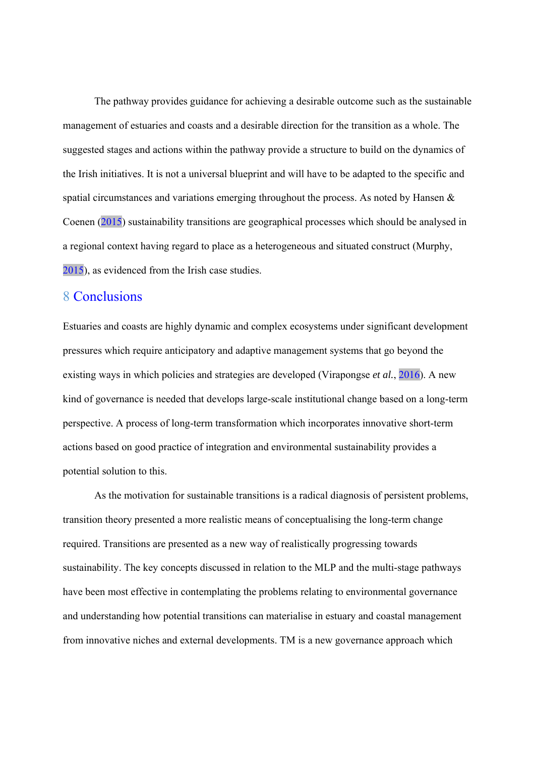The pathway provides guidance for achieving a desirable outcome such as the sustainable management of estuaries and coasts and a desirable direction for the transition as a whole. The suggested stages and actions within the pathway provide a structure to build on the dynamics of the Irish initiatives. It is not a universal blueprint and will have to be adapted to the specific and spatial circumstances and variations emerging throughout the process. As noted by Hansen & Coenen (2015) sustainability transitions are geographical processes which should be analysed in a regional context having regard to place as a heterogeneous and situated construct (Murphy, 2015), as evidenced from the Irish case studies.

### 8 Conclusions

Estuaries and coasts are highly dynamic and complex ecosystems under significant development pressures which require anticipatory and adaptive management systems that go beyond the existing ways in which policies and strategies are developed (Virapongse *et al.*, 2016). A new kind of governance is needed that develops large-scale institutional change based on a long-term perspective. A process of long-term transformation which incorporates innovative short-term actions based on good practice of integration and environmental sustainability provides a potential solution to this.

As the motivation for sustainable transitions is a radical diagnosis of persistent problems, transition theory presented a more realistic means of conceptualising the long-term change required. Transitions are presented as a new way of realistically progressing towards sustainability. The key concepts discussed in relation to the MLP and the multi-stage pathways have been most effective in contemplating the problems relating to environmental governance and understanding how potential transitions can materialise in estuary and coastal management from innovative niches and external developments. TM is a new governance approach which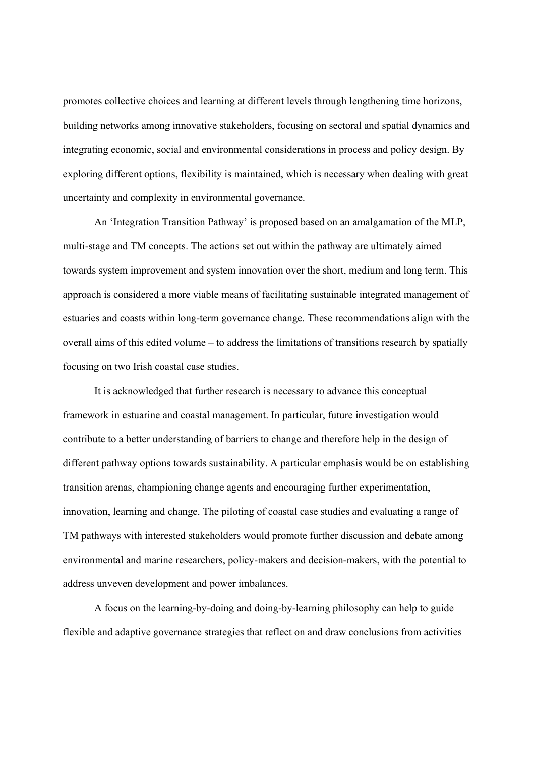promotes collective choices and learning at different levels through lengthening time horizons, building networks among innovative stakeholders, focusing on sectoral and spatial dynamics and integrating economic, social and environmental considerations in process and policy design. By exploring different options, flexibility is maintained, which is necessary when dealing with great uncertainty and complexity in environmental governance.

An 'Integration Transition Pathway' is proposed based on an amalgamation of the MLP, multi-stage and TM concepts. The actions set out within the pathway are ultimately aimed towards system improvement and system innovation over the short, medium and long term. This approach is considered a more viable means of facilitating sustainable integrated management of estuaries and coasts within long-term governance change. These recommendations align with the overall aims of this edited volume – to address the limitations of transitions research by spatially focusing on two Irish coastal case studies.

It is acknowledged that further research is necessary to advance this conceptual framework in estuarine and coastal management. In particular, future investigation would contribute to a better understanding of barriers to change and therefore help in the design of different pathway options towards sustainability. A particular emphasis would be on establishing transition arenas, championing change agents and encouraging further experimentation, innovation, learning and change. The piloting of coastal case studies and evaluating a range of TM pathways with interested stakeholders would promote further discussion and debate among environmental and marine researchers, policy-makers and decision-makers, with the potential to address unveven development and power imbalances.

A focus on the learning-by-doing and doing-by-learning philosophy can help to guide flexible and adaptive governance strategies that reflect on and draw conclusions from activities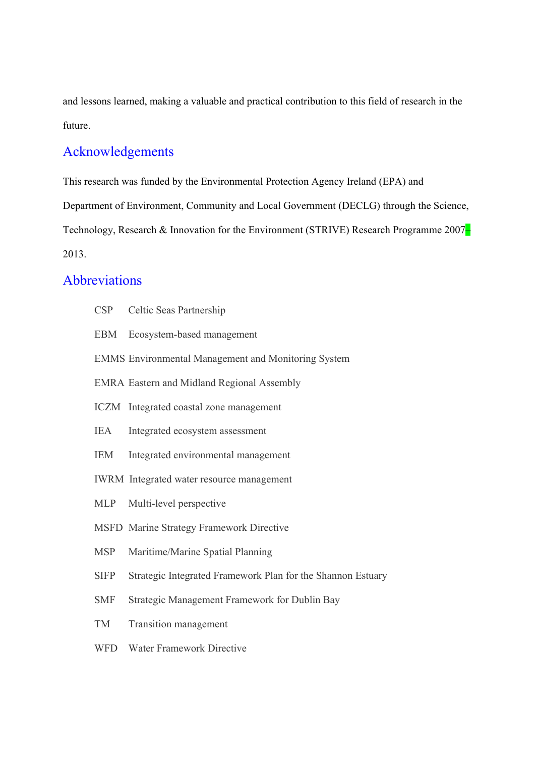and lessons learned, making a valuable and practical contribution to this field of research in the future.

# Acknowledgements

This research was funded by the Environmental Protection Agency Ireland (EPA) and Department of Environment, Community and Local Government (DECLG) through the Science, Technology, Research & Innovation for the Environment (STRIVE) Research Programme 2007-2013.

# Abbreviations

| CSP         | Celtic Seas Partnership                                     |
|-------------|-------------------------------------------------------------|
| EBM         | Ecosystem-based management                                  |
|             | EMMS Environmental Management and Monitoring System         |
|             | <b>EMRA</b> Eastern and Midland Regional Assembly           |
|             | ICZM Integrated coastal zone management                     |
| IEA         | Integrated ecosystem assessment                             |
| IEM         | Integrated environmental management                         |
|             | <b>IWRM</b> Integrated water resource management            |
| MLP         | Multi-level perspective                                     |
|             | MSFD Marine Strategy Framework Directive                    |
| <b>MSP</b>  | Maritime/Marine Spatial Planning                            |
| <b>SIFP</b> | Strategic Integrated Framework Plan for the Shannon Estuary |
| <b>SMF</b>  | Strategic Management Framework for Dublin Bay               |
| TM          | Transition management                                       |
| <b>WFD</b>  | Water Framework Directive                                   |
|             |                                                             |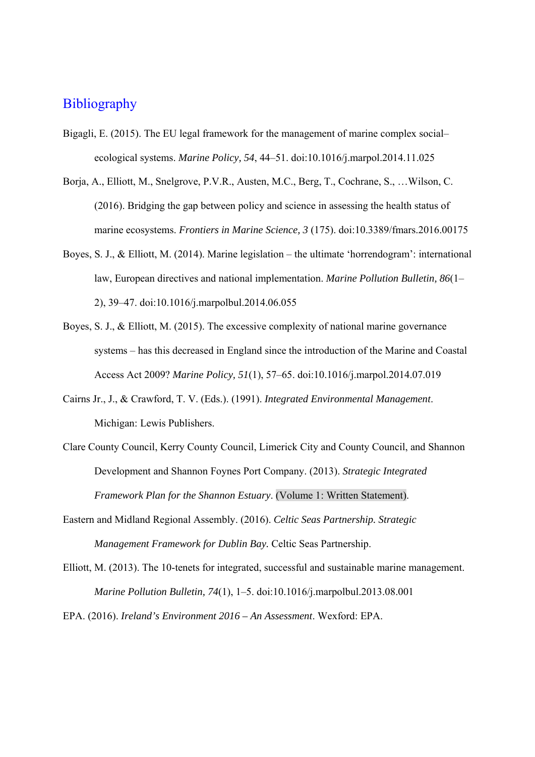## **Bibliography**

- Bigagli, E. (2015). The EU legal framework for the management of marine complex social– ecological systems. *Marine Policy, 54*, 44–51. doi:10.1016/j.marpol.2014.11.025
- Borja, A., Elliott, M., Snelgrove, P.V.R., Austen, M.C., Berg, T., Cochrane, S., …Wilson, C. (2016). Bridging the gap between policy and science in assessing the health status of marine ecosystems. *Frontiers in Marine Science, 3* (175). doi:10.3389/fmars.2016.00175
- Boyes, S. J., & Elliott, M. (2014). Marine legislation the ultimate 'horrendogram': international law, European directives and national implementation. *Marine Pollution Bulletin, 86*(1– 2), 39–47. doi:10.1016/j.marpolbul.2014.06.055
- Boyes, S. J., & Elliott, M. (2015). The excessive complexity of national marine governance systems – has this decreased in England since the introduction of the Marine and Coastal Access Act 2009? *Marine Policy, 51*(1), 57–65. doi:10.1016/j.marpol.2014.07.019
- Cairns Jr., J., & Crawford, T. V. (Eds.). (1991). *Integrated Environmental Management*. Michigan: Lewis Publishers.
- Clare County Council, Kerry County Council, Limerick City and County Council, and Shannon Development and Shannon Foynes Port Company. (2013). *Strategic Integrated Framework Plan for the Shannon Estuary*. (Volume 1: Written Statement).
- Eastern and Midland Regional Assembly. (2016). *Celtic Seas Partnership. Strategic Management Framework for Dublin Bay.* Celtic Seas Partnership.
- Elliott, M. (2013). The 10-tenets for integrated, successful and sustainable marine management. *Marine Pollution Bulletin, 74*(1), 1–5. doi:10.1016/j.marpolbul.2013.08.001

EPA. (2016). *Ireland's Environment 2016 – An Assessment*. Wexford: EPA.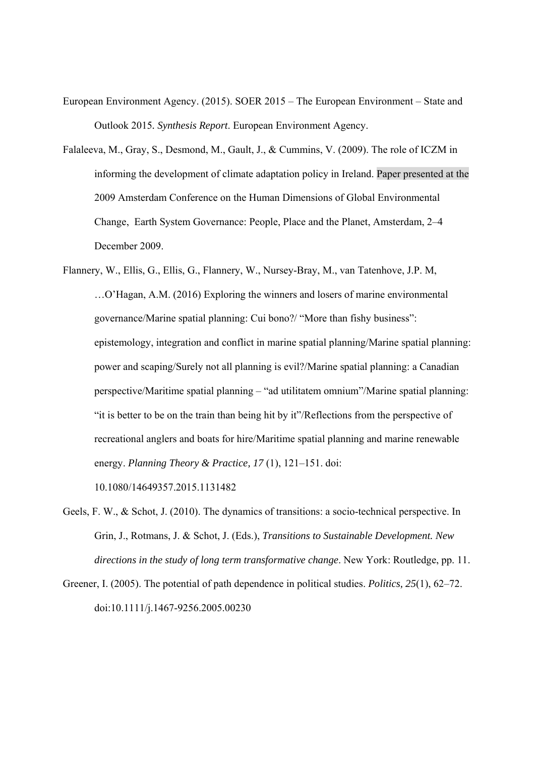- European Environment Agency. (2015). SOER 2015 The European Environment State and Outlook 2015*. Synthesis Report*. European Environment Agency.
- Falaleeva, M., Gray, S., Desmond, M., Gault, J., & Cummins, V. (2009). The role of ICZM in informing the development of climate adaptation policy in Ireland. Paper presented at the 2009 Amsterdam Conference on the Human Dimensions of Global Environmental Change, Earth System Governance: People, Place and the Planet, Amsterdam, 2–4 December 2009.
- Flannery, W., Ellis, G., Ellis, G., Flannery, W., Nursey-Bray, M., van Tatenhove, J.P. M, …O'Hagan, A.M. (2016) Exploring the winners and losers of marine environmental governance/Marine spatial planning: Cui bono?/ "More than fishy business": epistemology, integration and conflict in marine spatial planning/Marine spatial planning: power and scaping/Surely not all planning is evil?/Marine spatial planning: a Canadian perspective/Maritime spatial planning – "ad utilitatem omnium"/Marine spatial planning: "it is better to be on the train than being hit by it"/Reflections from the perspective of recreational anglers and boats for hire/Maritime spatial planning and marine renewable energy. *Planning Theory & Practice, 17* (1), 121–151. doi:

10.1080/14649357.2015.1131482

- Geels, F. W., & Schot, J. (2010). The dynamics of transitions: a socio-technical perspective. In Grin, J., Rotmans, J. & Schot, J. (Eds.), *Transitions to Sustainable Development. New directions in the study of long term transformative change*. New York: Routledge, pp. 11.
- Greener, I. (2005). The potential of path dependence in political studies. *Politics, 25*(1), 62–72. doi:10.1111/j.1467-9256.2005.00230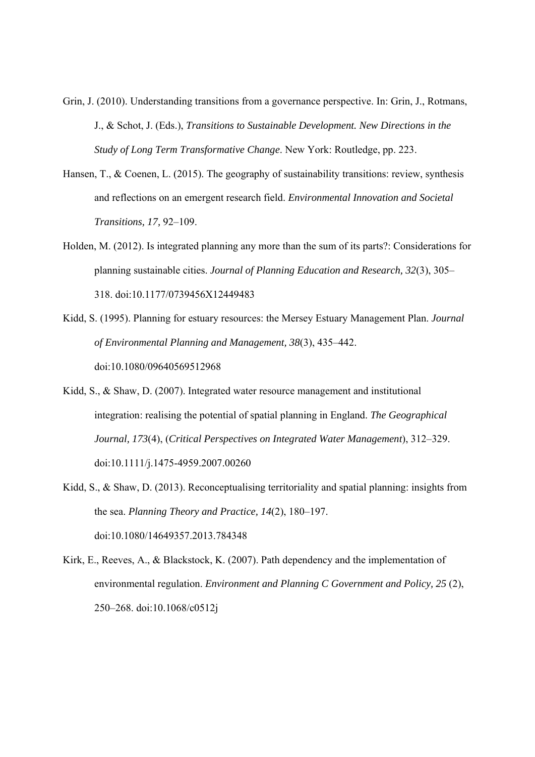- Grin, J. (2010). Understanding transitions from a governance perspective. In: Grin, J., Rotmans, J., & Schot, J. (Eds.), *Transitions to Sustainable Development. New Directions in the Study of Long Term Transformative Change*. New York: Routledge, pp. 223.
- Hansen, T., & Coenen, L. (2015). The geography of sustainability transitions: review, synthesis and reflections on an emergent research field. *Environmental Innovation and Societal Transitions, 17,* 92–109.
- Holden, M. (2012). Is integrated planning any more than the sum of its parts?: Considerations for planning sustainable cities. *Journal of Planning Education and Research, 32*(3), 305– 318. doi:10.1177/0739456X12449483
- Kidd, S. (1995). Planning for estuary resources: the Mersey Estuary Management Plan. *Journal of Environmental Planning and Management, 38*(3), 435–442. doi:10.1080/09640569512968
- Kidd, S., & Shaw, D. (2007). Integrated water resource management and institutional integration: realising the potential of spatial planning in England. *The Geographical Journal, 173*(4), (*Critical Perspectives on Integrated Water Management*), 312–329. doi:10.1111/j.1475-4959.2007.00260
- Kidd, S., & Shaw, D. (2013). Reconceptualising territoriality and spatial planning: insights from the sea. *Planning Theory and Practice, 14*(2), 180–197. doi:10.1080/14649357.2013.784348
- Kirk, E., Reeves, A., & Blackstock, K. (2007). Path dependency and the implementation of environmental regulation. *Environment and Planning C Government and Policy, 25* (2), 250–268. doi:10.1068/c0512j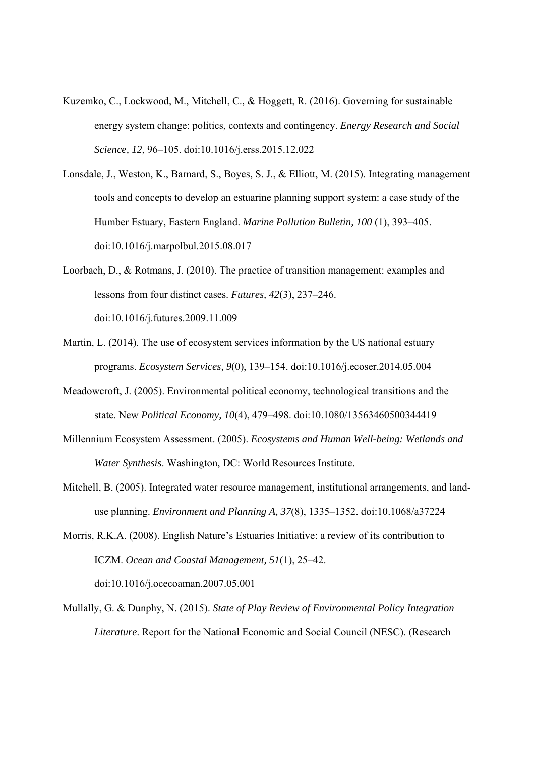- Kuzemko, C., Lockwood, M., Mitchell, C., & Hoggett, R. (2016). Governing for sustainable energy system change: politics, contexts and contingency. *Energy Research and Social Science, 12*, 96–105. doi:10.1016/j.erss.2015.12.022
- Lonsdale, J., Weston, K., Barnard, S., Boyes, S. J., & Elliott, M. (2015). Integrating management tools and concepts to develop an estuarine planning support system: a case study of the Humber Estuary, Eastern England. *Marine Pollution Bulletin, 100* (1), 393–405. doi:10.1016/j.marpolbul.2015.08.017
- Loorbach, D., & Rotmans, J. (2010). The practice of transition management: examples and lessons from four distinct cases. *Futures, 42*(3), 237–246. doi:10.1016/j.futures.2009.11.009
- Martin, L. (2014). The use of ecosystem services information by the US national estuary programs. *Ecosystem Services, 9*(0), 139–154. doi:10.1016/j.ecoser.2014.05.004
- Meadowcroft, J. (2005). Environmental political economy, technological transitions and the state. New *Political Economy, 10*(4), 479–498. doi:10.1080/13563460500344419
- Millennium Ecosystem Assessment. (2005). *Ecosystems and Human Well-being: Wetlands and Water Synthesis*. Washington, DC: World Resources Institute.
- Mitchell, B. (2005). Integrated water resource management, institutional arrangements, and landuse planning. *Environment and Planning A, 37*(8), 1335–1352. doi:10.1068/a37224
- Morris, R.K.A. (2008). English Nature's Estuaries Initiative: a review of its contribution to ICZM. *Ocean and Coastal Management, 51*(1), 25–42. doi:10.1016/j.ocecoaman.2007.05.001
- Mullally, G. & Dunphy, N. (2015). *State of Play Review of Environmental Policy Integration Literature*. Report for the National Economic and Social Council (NESC). (Research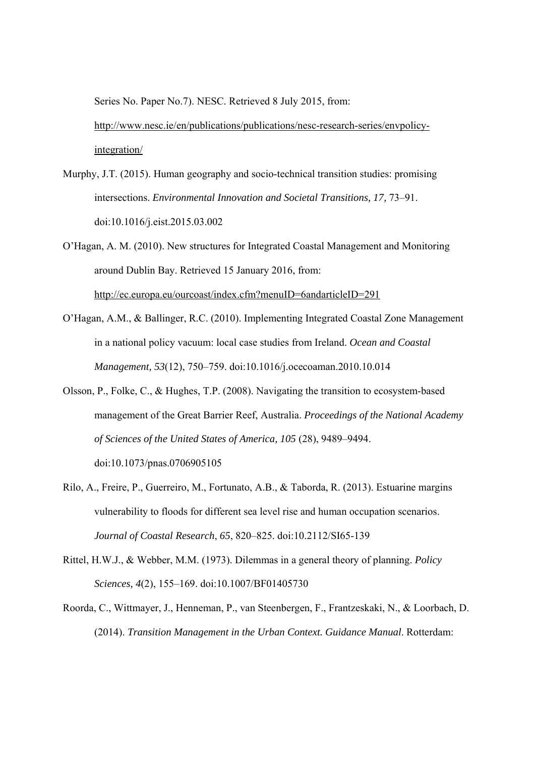Series No. Paper No.7). NESC. Retrieved 8 July 2015, from:

http://www.nesc.ie/en/publications/publications/nesc-research-series/envpolicyintegration/

- Murphy, J.T. (2015). Human geography and socio-technical transition studies: promising intersections. *Environmental Innovation and Societal Transitions, 17,* 73–91. doi:10.1016/j.eist.2015.03.002
- O'Hagan, A. M. (2010). New structures for Integrated Coastal Management and Monitoring around Dublin Bay. Retrieved 15 January 2016, from: http://ec.europa.eu/ourcoast/index.cfm?menuID=6andarticleID=291
- O'Hagan, A.M., & Ballinger, R.C. (2010). Implementing Integrated Coastal Zone Management in a national policy vacuum: local case studies from Ireland. *Ocean and Coastal Management, 53*(12), 750–759. doi:10.1016/j.ocecoaman.2010.10.014
- Olsson, P., Folke, C., & Hughes, T.P. (2008). Navigating the transition to ecosystem-based management of the Great Barrier Reef, Australia. *Proceedings of the National Academy of Sciences of the United States of America, 105* (28), 9489–9494. doi:10.1073/pnas.0706905105
- Rilo, A., Freire, P., Guerreiro, M., Fortunato, A.B., & Taborda, R. (2013). Estuarine margins vulnerability to floods for different sea level rise and human occupation scenarios. *Journal of Coastal Research*, *65*, 820–825. doi:10.2112/SI65-139
- Rittel, H.W.J., & Webber, M.M. (1973). Dilemmas in a general theory of planning. *Policy Sciences, 4*(2), 155–169. doi:10.1007/BF01405730
- Roorda, C., Wittmayer, J., Henneman, P., van Steenbergen, F., Frantzeskaki, N., & Loorbach, D. (2014). *Transition Management in the Urban Context. Guidance Manual*. Rotterdam: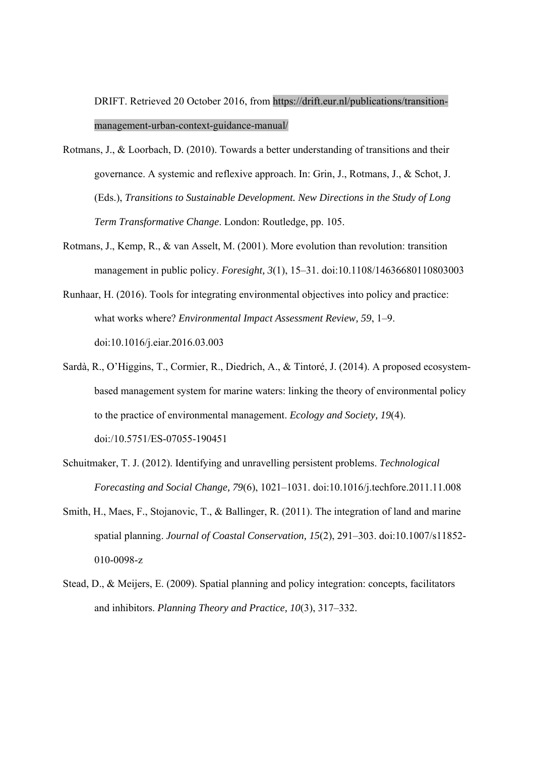DRIFT. Retrieved 20 October 2016, from https://drift.eur.nl/publications/transitionmanagement-urban-context-guidance-manual/

- Rotmans, J., & Loorbach, D. (2010). Towards a better understanding of transitions and their governance. A systemic and reflexive approach. In: Grin, J., Rotmans, J., & Schot, J. (Eds.), *Transitions to Sustainable Development. New Directions in the Study of Long Term Transformative Change*. London: Routledge, pp. 105.
- Rotmans, J., Kemp, R., & van Asselt, M. (2001). More evolution than revolution: transition management in public policy. *Foresight, 3*(1), 15–31. doi:10.1108/14636680110803003
- Runhaar, H. (2016). Tools for integrating environmental objectives into policy and practice: what works where? *Environmental Impact Assessment Review, 59*, 1–9. doi:10.1016/j.eiar.2016.03.003
- Sardà, R., O'Higgins, T., Cormier, R., Diedrich, A., & Tintoré, J. (2014). A proposed ecosystembased management system for marine waters: linking the theory of environmental policy to the practice of environmental management. *Ecology and Society, 19*(4). doi:/10.5751/ES-07055-190451
- Schuitmaker, T. J. (2012). Identifying and unravelling persistent problems. *Technological Forecasting and Social Change, 79*(6), 1021–1031. doi:10.1016/j.techfore.2011.11.008
- Smith, H., Maes, F., Stojanovic, T., & Ballinger, R. (2011). The integration of land and marine spatial planning. *Journal of Coastal Conservation, 15*(2), 291–303. doi:10.1007/s11852- 010-0098-z
- Stead, D., & Meijers, E. (2009). Spatial planning and policy integration: concepts, facilitators and inhibitors. *Planning Theory and Practice, 10*(3), 317–332.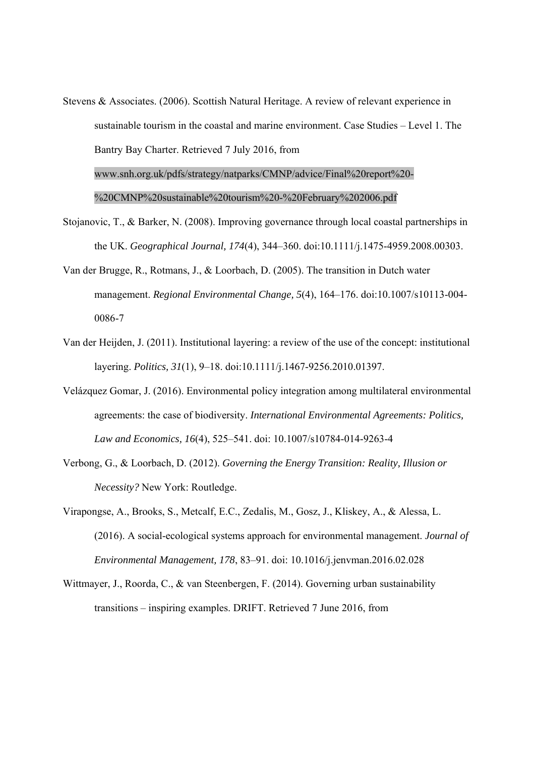- Stevens & Associates. (2006). Scottish Natural Heritage. A review of relevant experience in sustainable tourism in the coastal and marine environment. Case Studies – Level 1. The Bantry Bay Charter. Retrieved 7 July 2016, from www.snh.org.uk/pdfs/strategy/natparks/CMNP/advice/Final%20report%20- %20CMNP%20sustainable%20tourism%20-%20February%202006.pdf
- Stojanovic, T., & Barker, N. (2008). Improving governance through local coastal partnerships in the UK. *Geographical Journal, 174*(4), 344–360. doi:10.1111/j.1475-4959.2008.00303.
- Van der Brugge, R., Rotmans, J., & Loorbach, D. (2005). The transition in Dutch water management. *Regional Environmental Change, 5*(4), 164–176. doi:10.1007/s10113-004- 0086-7
- Van der Heijden, J. (2011). Institutional layering: a review of the use of the concept: institutional layering. *Politics, 31*(1), 9–18. doi:10.1111/j.1467-9256.2010.01397.
- Velázquez Gomar, J. (2016). Environmental policy integration among multilateral environmental agreements: the case of biodiversity. *International Environmental Agreements: Politics, Law and Economics, 16*(4), 525–541. doi: 10.1007/s10784-014-9263-4
- Verbong, G., & Loorbach, D. (2012). *Governing the Energy Transition: Reality, Illusion or Necessity?* New York: Routledge.
- Virapongse, A., Brooks, S., Metcalf, E.C., Zedalis, M., Gosz, J., Kliskey, A., & Alessa, L. (2016). A social-ecological systems approach for environmental management. *Journal of Environmental Management, 178*, 83–91. doi: 10.1016/j.jenvman.2016.02.028
- Wittmayer, J., Roorda, C., & van Steenbergen, F. (2014). Governing urban sustainability transitions – inspiring examples. DRIFT. Retrieved 7 June 2016, from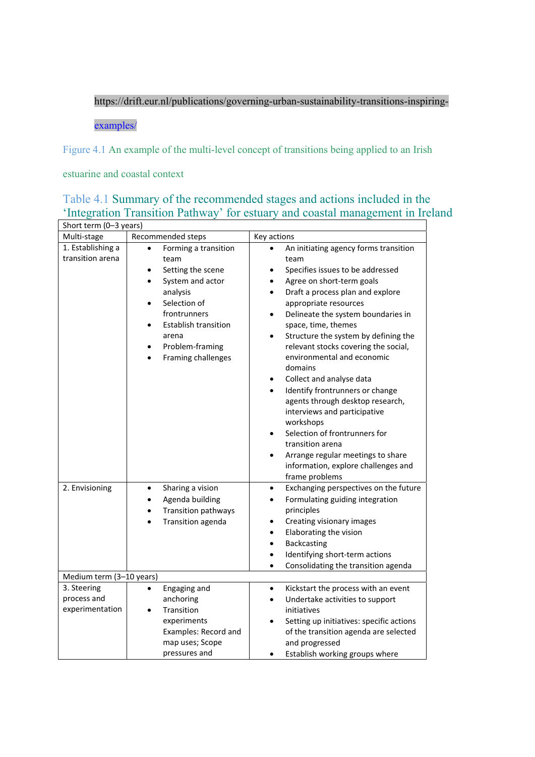# https://drift.eur.nl/publications/governing-urban-sustainability-transitions-inspiring-

# examples/

Figure 4.1 An example of the multi-level concept of transitions being applied to an Irish

estuarine and coastal context

| Table 4.1 Summary of the recommended stages and actions included in the        |
|--------------------------------------------------------------------------------|
| 'Integration Transition Pathway' for estuary and coastal management in Ireland |
| $Chart+arm (0, 2) (2)$                                                         |

| snort term (∪–3 years)                |                                                                                                                                                                                                    |                                                                                                                                                                                                                                                                                                                                                                                                                                                                                                                                                                                                                                                                                                                                                                              |  |  |
|---------------------------------------|----------------------------------------------------------------------------------------------------------------------------------------------------------------------------------------------------|------------------------------------------------------------------------------------------------------------------------------------------------------------------------------------------------------------------------------------------------------------------------------------------------------------------------------------------------------------------------------------------------------------------------------------------------------------------------------------------------------------------------------------------------------------------------------------------------------------------------------------------------------------------------------------------------------------------------------------------------------------------------------|--|--|
| Multi-stage                           | Recommended steps                                                                                                                                                                                  | Key actions                                                                                                                                                                                                                                                                                                                                                                                                                                                                                                                                                                                                                                                                                                                                                                  |  |  |
| 1. Establishing a<br>transition arena | Forming a transition<br>team<br>Setting the scene<br>System and actor<br>analysis<br>Selection of<br>frontrunners<br><b>Establish transition</b><br>arena<br>Problem-framing<br>Framing challenges | An initiating agency forms transition<br>team<br>Specifies issues to be addressed<br>$\bullet$<br>Agree on short-term goals<br>$\bullet$<br>Draft a process plan and explore<br>$\bullet$<br>appropriate resources<br>Delineate the system boundaries in<br>$\bullet$<br>space, time, themes<br>Structure the system by defining the<br>$\bullet$<br>relevant stocks covering the social,<br>environmental and economic<br>domains<br>Collect and analyse data<br>$\bullet$<br>Identify frontrunners or change<br>$\bullet$<br>agents through desktop research,<br>interviews and participative<br>workshops<br>Selection of frontrunners for<br>transition arena<br>Arrange regular meetings to share<br>$\bullet$<br>information, explore challenges and<br>frame problems |  |  |
| 2. Envisioning                        | Sharing a vision<br>$\bullet$<br>Agenda building<br>Transition pathways<br><b>Transition agenda</b>                                                                                                | Exchanging perspectives on the future<br>$\bullet$<br>Formulating guiding integration<br>$\bullet$<br>principles<br>Creating visionary images<br>$\bullet$<br>Elaborating the vision<br>$\bullet$<br><b>Backcasting</b><br>$\bullet$<br>Identifying short-term actions<br>$\bullet$<br>Consolidating the transition agenda<br>$\bullet$                                                                                                                                                                                                                                                                                                                                                                                                                                      |  |  |
| Medium term (3-10 years)              |                                                                                                                                                                                                    |                                                                                                                                                                                                                                                                                                                                                                                                                                                                                                                                                                                                                                                                                                                                                                              |  |  |
| 3. Steering                           | Engaging and<br>$\bullet$                                                                                                                                                                          | Kickstart the process with an event<br>$\bullet$                                                                                                                                                                                                                                                                                                                                                                                                                                                                                                                                                                                                                                                                                                                             |  |  |
| process and                           | anchoring                                                                                                                                                                                          | Undertake activities to support<br>$\bullet$                                                                                                                                                                                                                                                                                                                                                                                                                                                                                                                                                                                                                                                                                                                                 |  |  |
| experimentation                       | Transition<br>$\bullet$                                                                                                                                                                            | initiatives                                                                                                                                                                                                                                                                                                                                                                                                                                                                                                                                                                                                                                                                                                                                                                  |  |  |
|                                       | experiments                                                                                                                                                                                        | Setting up initiatives: specific actions<br>$\bullet$                                                                                                                                                                                                                                                                                                                                                                                                                                                                                                                                                                                                                                                                                                                        |  |  |
|                                       | Examples: Record and                                                                                                                                                                               | of the transition agenda are selected                                                                                                                                                                                                                                                                                                                                                                                                                                                                                                                                                                                                                                                                                                                                        |  |  |
|                                       | map uses; Scope                                                                                                                                                                                    | and progressed                                                                                                                                                                                                                                                                                                                                                                                                                                                                                                                                                                                                                                                                                                                                                               |  |  |
|                                       | pressures and                                                                                                                                                                                      | Establish working groups where                                                                                                                                                                                                                                                                                                                                                                                                                                                                                                                                                                                                                                                                                                                                               |  |  |